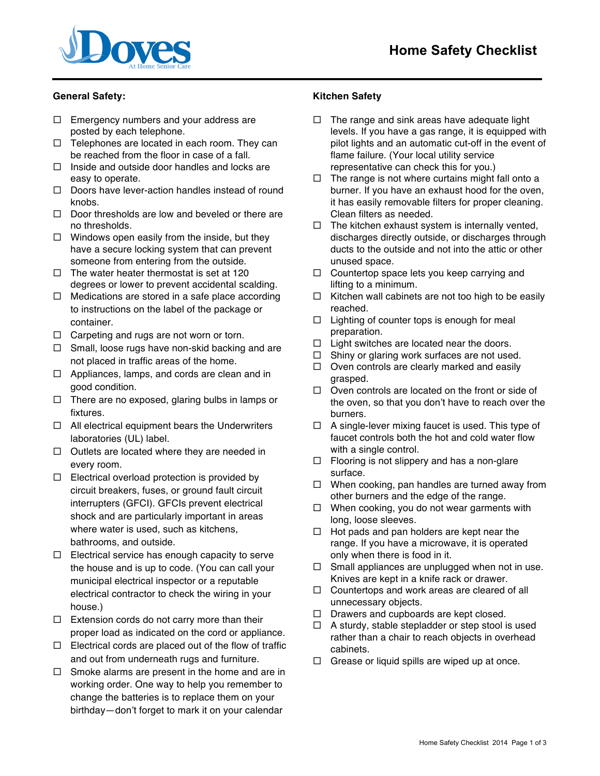

## **General Safety:**

- $\Box$  Emergency numbers and your address are posted by each telephone.
- $\Box$  Telephones are located in each room. They can be reached from the floor in case of a fall.
- $\Box$  Inside and outside door handles and locks are easy to operate.
- $\Box$  Doors have lever-action handles instead of round knobs.
- $\Box$  Door thresholds are low and beveled or there are no thresholds.
- $\Box$  Windows open easily from the inside, but they have a secure locking system that can prevent someone from entering from the outside.
- $\Box$  The water heater thermostat is set at 120 degrees or lower to prevent accidental scalding.
- $\Box$  Medications are stored in a safe place according to instructions on the label of the package or container.
- □ Carpeting and rugs are not worn or torn.
- $\Box$  Small, loose rugs have non-skid backing and are not placed in traffic areas of the home.
- $\Box$  Appliances, lamps, and cords are clean and in good condition.
- $\Box$  There are no exposed, glaring bulbs in lamps or fixtures.
- $\Box$  All electrical equipment bears the Underwriters laboratories (UL) label.
- $\Box$  Outlets are located where they are needed in every room.
- $\Box$  Electrical overload protection is provided by circuit breakers, fuses, or ground fault circuit interrupters (GFCI). GFCIs prevent electrical shock and are particularly important in areas where water is used, such as kitchens, bathrooms, and outside.
- $\Box$  Electrical service has enough capacity to serve the house and is up to code. (You can call your municipal electrical inspector or a reputable electrical contractor to check the wiring in your house.)
- $\Box$  Extension cords do not carry more than their proper load as indicated on the cord or appliance.
- $\Box$  Electrical cords are placed out of the flow of traffic and out from underneath rugs and furniture.
- $\Box$  Smoke alarms are present in the home and are in working order. One way to help you remember to change the batteries is to replace them on your birthday—don't forget to mark it on your calendar

## **Kitchen Safety**

- $\Box$  The range and sink areas have adequate light levels. If you have a gas range, it is equipped with pilot lights and an automatic cut-off in the event of flame failure. (Your local utility service representative can check this for you.)
- $\Box$  The range is not where curtains might fall onto a burner. If you have an exhaust hood for the oven, it has easily removable filters for proper cleaning. Clean filters as needed.
- $\Box$  The kitchen exhaust system is internally vented, discharges directly outside, or discharges through ducts to the outside and not into the attic or other unused space.
- $\Box$  Countertop space lets you keep carrying and lifting to a minimum.
- $\Box$  Kitchen wall cabinets are not too high to be easily reached.
- $\Box$  Lighting of counter tops is enough for meal preparation.
- $\Box$  Light switches are located near the doors.
- $\Box$  Shiny or glaring work surfaces are not used.
- $\Box$  Oven controls are clearly marked and easily grasped.
- $\Box$  Oven controls are located on the front or side of the oven, so that you don't have to reach over the burners.
- $\Box$  A single-lever mixing faucet is used. This type of faucet controls both the hot and cold water flow with a single control.
- $\Box$  Flooring is not slippery and has a non-glare surface.
- $\Box$  When cooking, pan handles are turned away from other burners and the edge of the range.
- $\Box$  When cooking, you do not wear garments with long, loose sleeves.
- $\Box$  Hot pads and pan holders are kept near the range. If you have a microwave, it is operated only when there is food in it.
- $\Box$  Small appliances are unplugged when not in use. Knives are kept in a knife rack or drawer.
- $\Box$  Countertops and work areas are cleared of all unnecessary objects.
- $\Box$  Drawers and cupboards are kept closed.
- $\Box$  A sturdy, stable stepladder or step stool is used rather than a chair to reach objects in overhead cabinets.
- $\Box$  Grease or liquid spills are wiped up at once.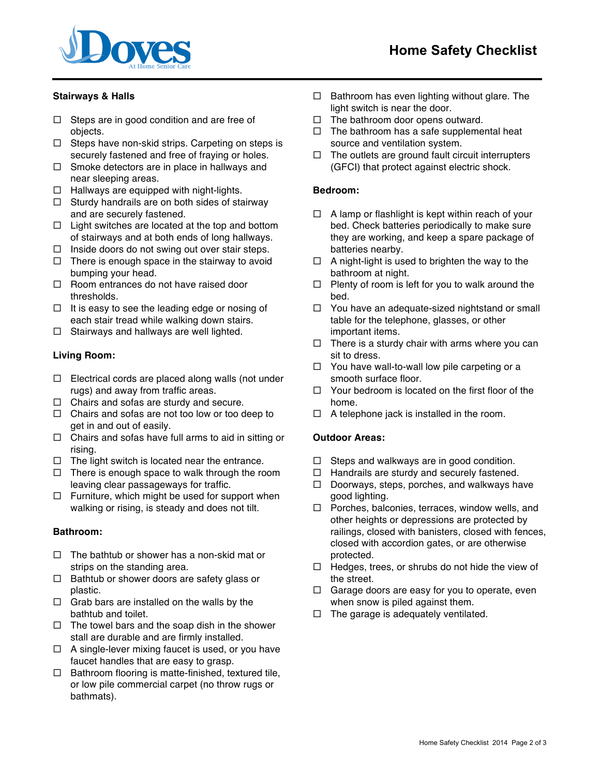

## **Stairways & Halls**

- $\Box$  Steps are in good condition and are free of objects.
- $\Box$  Steps have non-skid strips. Carpeting on steps is securely fastened and free of fraying or holes.
- $\Box$  Smoke detectors are in place in hallways and near sleeping areas.
- $\Box$  Hallways are equipped with night-lights.
- $\Box$  Sturdy handrails are on both sides of stairway and are securely fastened.
- $\Box$  Light switches are located at the top and bottom of stairways and at both ends of long hallways.
- $\Box$  Inside doors do not swing out over stair steps.
- $\Box$  There is enough space in the stairway to avoid bumping your head.
- $\Box$  Room entrances do not have raised door thresholds.
- $\Box$  It is easy to see the leading edge or nosing of each stair tread while walking down stairs.
- $\Box$  Stairways and hallways are well lighted.

## **Living Room:**

- $\Box$  Electrical cords are placed along walls (not under rugs) and away from traffic areas.
- $\Box$  Chairs and sofas are sturdy and secure.
- $\Box$  Chairs and sofas are not too low or too deep to get in and out of easily.
- $\Box$  Chairs and sofas have full arms to aid in sitting or rising.
- $\Box$  The light switch is located near the entrance.
- $\Box$  There is enough space to walk through the room leaving clear passageways for traffic.
- $\Box$  Furniture, which might be used for support when walking or rising, is steady and does not tilt.

## **Bathroom:**

- $\Box$  The bathtub or shower has a non-skid mat or strips on the standing area.
- $\Box$  Bathtub or shower doors are safety glass or plastic.
- $\Box$  Grab bars are installed on the walls by the bathtub and toilet.
- $\Box$  The towel bars and the soap dish in the shower stall are durable and are firmly installed.
- $\Box$  A single-lever mixing faucet is used, or you have faucet handles that are easy to grasp.
- $\Box$  Bathroom flooring is matte-finished, textured tile, or low pile commercial carpet (no throw rugs or bathmats).
- $\Box$  Bathroom has even lighting without glare. The light switch is near the door.
- $\Box$  The bathroom door opens outward.
- $\Box$  The bathroom has a safe supplemental heat source and ventilation system.
- $\Box$  The outlets are ground fault circuit interrupters (GFCI) that protect against electric shock.

### **Bedroom:**

- $\Box$  A lamp or flashlight is kept within reach of your bed. Check batteries periodically to make sure they are working, and keep a spare package of batteries nearby.
- $\Box$  A night-light is used to brighten the way to the bathroom at night.
- $\Box$  Plenty of room is left for you to walk around the bed.
- $\Box$  You have an adequate-sized nightstand or small table for the telephone, glasses, or other important items.
- $\Box$  There is a sturdy chair with arms where you can sit to dress.
- $\Box$  You have wall-to-wall low pile carpeting or a smooth surface floor.
- $\Box$  Your bedroom is located on the first floor of the home.
- $\Box$  A telephone jack is installed in the room.

#### **Outdoor Areas:**

- $\Box$  Steps and walkways are in good condition.
- $\Box$  Handrails are sturdy and securely fastened.
- $\Box$  Doorways, steps, porches, and walkways have good lighting.
- $\Box$  Porches, balconies, terraces, window wells, and other heights or depressions are protected by railings, closed with banisters, closed with fences, closed with accordion gates, or are otherwise protected.
- $\Box$  Hedges, trees, or shrubs do not hide the view of the street.
- $\Box$  Garage doors are easy for you to operate, even when snow is piled against them.
- $\Box$  The garage is adequately ventilated.